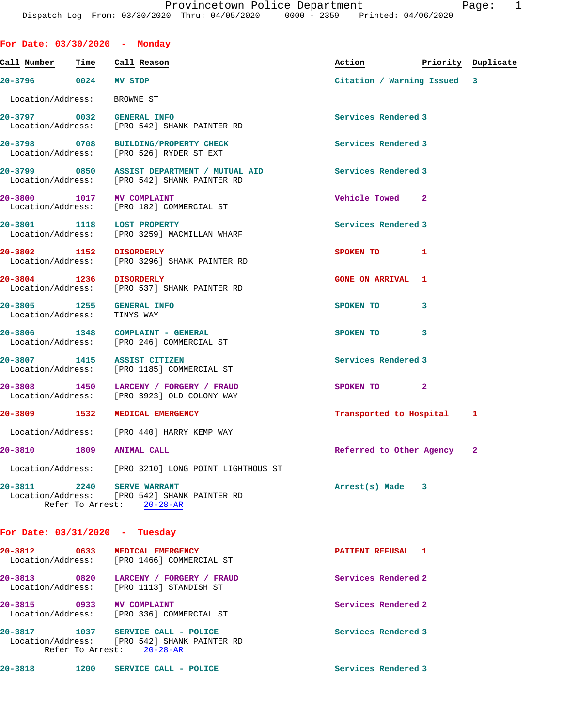| For Date: 03/30/2020 - Mondav                                                               |                  |           |                                |  |                            |                             |  |
|---------------------------------------------------------------------------------------------|------------------|-----------|--------------------------------|--|----------------------------|-----------------------------|--|
| Call Number                                                                                 | Time Call Reason |           |                                |  | Action                     | Priority Duplicate          |  |
| 20-3796 0024 MV STOP                                                                        |                  |           |                                |  |                            | Citation / Warning Issued 3 |  |
| Location/Address:                                                                           |                  | BROWNE ST |                                |  |                            |                             |  |
| 20-3797 0032 GENERAL INFO<br>Location/Address: [PRO 542] SHANK PAINTER RD                   |                  |           |                                |  | Services Rendered 3        |                             |  |
| 20-3798 0708 BUILDING/PROPERTY CHECK<br>Location/Address: [PRO 526] RYDER ST EXT            |                  |           |                                |  | Services Rendered 3        |                             |  |
| 20-3799 6850 ASSIST DEPARTMENT / MUTUAL AID<br>Location/Address: [PRO 542] SHANK PAINTER RD |                  |           |                                |  | <b>Services Rendered 3</b> |                             |  |
| 20-3800 1017 MV COMPLAINT<br>Location/Address: [PRO 182] COMMERCIAL ST                      |                  |           |                                |  | Vehicle Towed 2            |                             |  |
| 20-3801 1118 LOST PROPERTY<br>Location/Address: [PRO 3259] MACMILLAN WHARF                  |                  |           |                                |  | Services Rendered 3        |                             |  |
| 20-3802 1152 DISORDERLY<br>Location/Address: [PRO 3296] SHANK PAINTER RD                    |                  |           |                                |  | SPOKEN TO                  | $\mathbf{1}$                |  |
| 20-3804 1236 DISORDERLY<br>Location/Address: [PRO 537] SHANK PAINTER RD                     |                  |           |                                |  | <b>GONE ON ARRIVAL 1</b>   |                             |  |
| 20-3805 1255 GENERAL INFO<br>Location/Address:                                              |                  |           | TINYS WAY                      |  | SPOKEN TO                  | 3                           |  |
| 20-3806 1348 COMPLAINT - GENERAL<br>Location/Address: [PRO 246] COMMERCIAL ST               |                  |           |                                |  | SPOKEN TO 3                |                             |  |
| 20-3807 1415 ASSIST CITIZEN<br>Location/Address: [PRO 1185] COMMERCIAL ST                   |                  |           |                                |  | Services Rendered 3        |                             |  |
| 20-3808<br>Location/Address: [PRO 3923] OLD COLONY WAY                                      |                  |           | 1450 LARCENY / FORGERY / FRAUD |  | SPOKEN TO 2                |                             |  |
| 20-3809 1532 MEDICAL EMERGENCY                                                              |                  |           |                                |  |                            | Transported to Hospital 1   |  |
| Location/Address: [PRO 440] HARRY KEMP WAY                                                  |                  |           |                                |  |                            |                             |  |
| 20-3810 1809 ANIMAL CALL                                                                    |                  |           |                                |  |                            | Referred to Other Agency 2  |  |
| Location/Address: [PRO 3210] LONG POINT LIGHTHOUS ST                                        |                  |           |                                |  |                            |                             |  |
| 20-3811 2240 SERVE WARRANT<br>Location/Address: [PRO 542] SHANK PAINTER RD                  |                  |           | Refer To Arrest: 20-28-AR      |  | $Arrest(s)$ Made $3$       |                             |  |
| For Date: $03/31/2020 - Tuesday$                                                            |                  |           |                                |  |                            |                             |  |
| 20-3812 0633 MEDICAL EMERGENCY<br>Location/Address: [PRO 1466] COMMERCIAL ST                |                  |           |                                |  | PATIENT REFUSAL 1          |                             |  |
| 20-3813 0820 LARCENY / FORGERY / FRAUD<br>Location/Address: [PRO 1113] STANDISH ST          |                  |           |                                |  | Services Rendered 2        |                             |  |

**20-3815 0933 MV COMPLAINT Services Rendered 2**  Location/Address: [PRO 336] COMMERCIAL ST 20-3817 1037 SERVICE CALL - POLICE **Services Rendered 3** Location/Address: [PRO 542] SHANK PAINTER RD

Refer To Arrest: 20-28-AR

| $20 - 3818$<br>1200<br>SERVICE CALL - POLICE | Services Rendered 3 |
|----------------------------------------------|---------------------|
|----------------------------------------------|---------------------|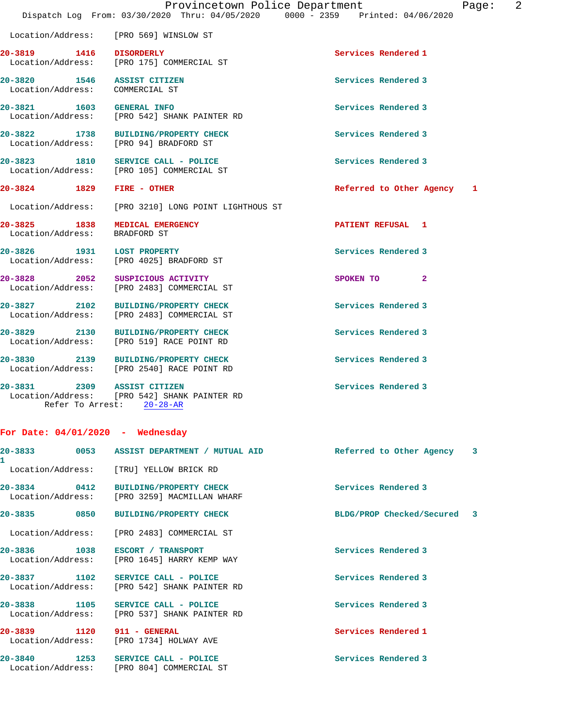|                                                                 | Dispatch Log From: 03/30/2020 Thru: 04/05/2020 0000 - 2359 Printed: 04/06/2020     | Provincetown Police Department<br>Page: | $\overline{2}$ |
|-----------------------------------------------------------------|------------------------------------------------------------------------------------|-----------------------------------------|----------------|
|                                                                 | Location/Address: [PRO 569] WINSLOW ST                                             |                                         |                |
|                                                                 | 20-3819 1416 DISORDERLY<br>Location/Address: [PRO 175] COMMERCIAL ST               | Services Rendered 1                     |                |
| 20-3820 1546 ASSIST CITIZEN<br>Location/Address: COMMERCIAL ST  |                                                                                    | Services Rendered 3                     |                |
| 20-3821 1603 GENERAL INFO                                       | Location/Address: [PRO 542] SHANK PAINTER RD                                       | Services Rendered 3                     |                |
|                                                                 | 20-3822 1738 BUILDING/PROPERTY CHECK<br>Location/Address: [PRO 94] BRADFORD ST     | Services Rendered 3                     |                |
|                                                                 | 20-3823 1810 SERVICE CALL - POLICE<br>Location/Address: [PRO 105] COMMERCIAL ST    | Services Rendered 3                     |                |
| 20-3824 1829 FIRE - OTHER                                       |                                                                                    | Referred to Other Agency 1              |                |
|                                                                 | Location/Address: [PRO 3210] LONG POINT LIGHTHOUS ST                               |                                         |                |
| 20-3825 1838 MEDICAL EMERGENCY<br>Location/Address: BRADFORD ST |                                                                                    | PATIENT REFUSAL 1                       |                |
| 20-3826 1931 LOST PROPERTY                                      | Location/Address: [PRO 4025] BRADFORD ST                                           | Services Rendered 3                     |                |
|                                                                 | 20-3828 2052 SUSPICIOUS ACTIVITY<br>Location/Address: [PRO 2483] COMMERCIAL ST     | SPOKEN TO 2                             |                |
|                                                                 | 20-3827 2102 BUILDING/PROPERTY CHECK<br>Location/Address: [PRO 2483] COMMERCIAL ST | Services Rendered 3                     |                |
|                                                                 | 20-3829 2130 BUILDING/PROPERTY CHECK<br>Location/Address: [PRO 519] RACE POINT RD  | Services Rendered 3                     |                |
|                                                                 | 20-3830 2139 BUILDING/PROPERTY CHECK<br>Location/Address: [PRO 2540] RACE POINT RD | Services Rendered 3                     |                |
| 20-3831 2309 ASSIST CITIZEN                                     | Location/Address: [PRO 542] SHANK PAINTER RD<br>Refer To Arrest: 20-28-AR          | Services Rendered 3                     |                |

|                            |                                                                                      | Referred to Other Agency 3  |  |
|----------------------------|--------------------------------------------------------------------------------------|-----------------------------|--|
|                            | Location/Address: [TRU] YELLOW BRICK RD                                              |                             |  |
|                            | 20-3834 0412 BUILDING/PROPERTY CHECK<br>Location/Address: [PRO 3259] MACMILLAN WHARF | Services Rendered 3         |  |
| 20-3835 0850               | <b>BUILDING/PROPERTY CHECK</b>                                                       | BLDG/PROP Checked/Secured 3 |  |
|                            | Location/Address: [PRO 2483] COMMERCIAL ST                                           |                             |  |
|                            | 20-3836    1038    ESCORT / TRANSPORT<br>Location/Address: [PRO 1645] HARRY KEMP WAY | Services Rendered 3         |  |
|                            | 20-3837 1102 SERVICE CALL - POLICE<br>Location/Address: [PRO 542] SHANK PAINTER RD   | Services Rendered 3         |  |
|                            | 20-3838 1105 SERVICE CALL - POLICE<br>Location/Address: [PRO 537] SHANK PAINTER RD   | Services Rendered 3         |  |
| 20-3839 1120 911 - GENERAL | Location/Address: [PRO 1734] HOLWAY AVE                                              | Services Rendered 1         |  |
|                            | 20-3840 1253 SERVICE CALL - POLICE<br>Location/Address: [PRO 804] COMMERCIAL ST      | Services Rendered 3         |  |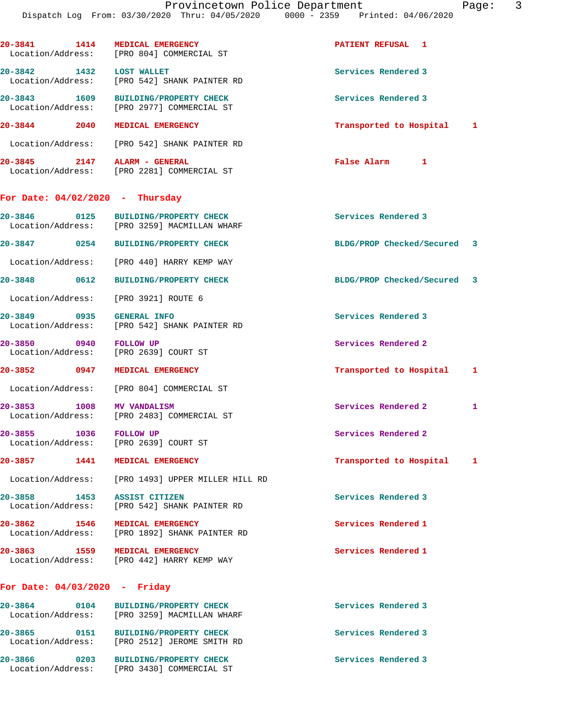|                                   | 20-3841 1414 MEDICAL EMERGENCY<br>Location/Address: [PRO 804] COMMERCIAL ST          | PATIENT REFUSAL 1           |   |
|-----------------------------------|--------------------------------------------------------------------------------------|-----------------------------|---|
| 20-3842 1432 LOST WALLET          | Location/Address: [PRO 542] SHANK PAINTER RD                                         | Services Rendered 3         |   |
|                                   | 20-3843 1609 BUILDING/PROPERTY CHECK<br>Location/Address: [PRO 2977] COMMERCIAL ST   | Services Rendered 3         |   |
|                                   | 20-3844 2040 MEDICAL EMERGENCY                                                       | Transported to Hospital 1   |   |
|                                   | Location/Address: [PRO 542] SHANK PAINTER RD                                         |                             |   |
|                                   | 20-3845 2147 ALARM - GENERAL<br>Location/Address: [PRO 2281] COMMERCIAL ST           | False Alarm<br>$\mathbf{1}$ |   |
| For Date: $04/02/2020$ - Thursday |                                                                                      |                             |   |
|                                   | 20-3846 0125 BUILDING/PROPERTY CHECK<br>Location/Address: [PRO 3259] MACMILLAN WHARF | Services Rendered 3         |   |
|                                   | 20-3847 0254 BUILDING/PROPERTY CHECK                                                 | BLDG/PROP Checked/Secured 3 |   |
|                                   | Location/Address: [PRO 440] HARRY KEMP WAY                                           |                             |   |
| 20-3848 0612                      | <b>BUILDING/PROPERTY CHECK</b>                                                       | BLDG/PROP Checked/Secured 3 |   |
|                                   | Location/Address: [PRO 3921] ROUTE 6                                                 |                             |   |
| 20-3849 0935 GENERAL INFO         | Location/Address: [PRO 542] SHANK PAINTER RD                                         | Services Rendered 3         |   |
| 20-3850 0940 FOLLOW UP            | Location/Address: [PRO 2639] COURT ST                                                | Services Rendered 2         |   |
| 20-3852 0947                      | <b>MEDICAL EMERGENCY</b>                                                             | Transported to Hospital     | 1 |
|                                   | Location/Address: [PRO 804] COMMERCIAL ST                                            |                             |   |
| 20-3853 1008                      | <b>MV VANDALISM</b><br>Location/Address: [PRO 2483] COMMERCIAL ST                    | Services Rendered 2         | 1 |
| 20-3855                           | 1036 FOLLOW UP<br>Location/Address: [PRO 2639] COURT ST                              | Services Rendered 2         |   |
|                                   | 20-3857 1441 MEDICAL EMERGENCY                                                       | Transported to Hospital     | 1 |
|                                   | Location/Address: [PRO 1493] UPPER MILLER HILL RD                                    |                             |   |
| 20-3858 1453 ASSIST CITIZEN       | Location/Address: [PRO 542] SHANK PAINTER RD                                         | Services Rendered 3         |   |
|                                   | 20-3862 1546 MEDICAL EMERGENCY<br>Location/Address: [PRO 1892] SHANK PAINTER RD      | Services Rendered 1         |   |
|                                   | 20-3863 1559 MEDICAL EMERGENCY<br>Location/Address: [PRO 442] HARRY KEMP WAY         | Services Rendered 1         |   |
| For Date: $04/03/2020$ - Friday   |                                                                                      |                             |   |
|                                   | 20-3864 0104 BUILDING/PROPERTY CHECK<br>Location/Address: [PRO 3259] MACMILLAN WHARF | Services Rendered 3         |   |
|                                   | Location/Address: [PRO 2512] JEROME SMITH RD                                         | Services Rendered 3         |   |
| 20-3866                           | 0203 BUILDING/PROPERTY CHECK                                                         | Services Rendered 3         |   |

Location/Address: [PRO 3430] COMMERCIAL ST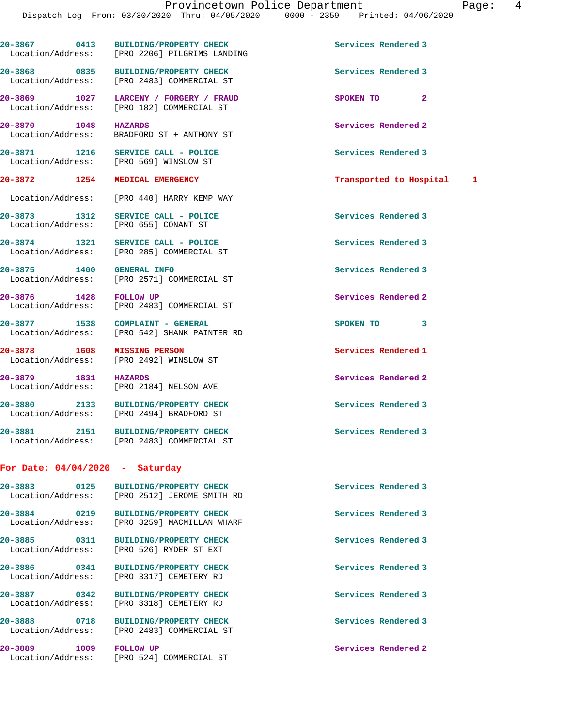**20-3867 0413 BUILDING/PROPERTY CHECK Services Rendered 3**  Location/Address: [PRO 2206] PILGRIMS LANDING

**20-3868 0835 BUILDING/PROPERTY CHECK Services Rendered 3** 

Location/Address: [PRO 2184] NELSON AVE

## **For Date: 04/04/2020 - Saturday**

**20-3883 0125 BUILDING/PROPERTY CHECK Services Rendered 3**  Location/Address: [PRO 2512] JEROME SMITH RD **20-3884 0219 BUILDING/PROPERTY CHECK Services Rendered 3**  Location/Address: [PRO 3259] MACMILLAN WHARF **20-3885 0311 BUILDING/PROPERTY CHECK Services Rendered 3**  Location/Address: [PRO 526] RYDER ST EXT **20-3886 0341 BUILDING/PROPERTY CHECK Services Rendered 3**  Location/Address: [PRO 3317] CEMETERY RD **20-3887 0342 BUILDING/PROPERTY CHECK Services Rendered 3**  Location/Address: [PRO 3318] CEMETERY RD **20-3888 0718 BUILDING/PROPERTY CHECK Services Rendered 3**  Location/Address: [PRO 2483] COMMERCIAL ST **20-3889 1009 FOLLOW UP Services Rendered 2**  Location/Address: [PRO 524] COMMERCIAL ST

 Location/Address: [PRO 2483] COMMERCIAL ST **20-3869 1027 LARCENY / FORGERY / FRAUD SPOKEN TO 2**  Location/Address: [PRO 182] COMMERCIAL ST

**20-3870** 1048 **HAZARDS 1048 HAZARDS Services Rendered 2 Integral 2 Integral 2 Integral 2 Integral 2** BRADFORD ST + ANTHONY ST

**20-3871 1216 SERVICE CALL - POLICE Services Rendered 3**  Location/Address: [PRO 569] WINSLOW ST

Location/Address: [PRO 440] HARRY KEMP WAY

**20-3873 1312 SERVICE CALL - POLICE Services Rendered 3**  Location/Address: [PRO 655] CONANT ST

20-3874 1321 SERVICE CALL - POLICE **Services Rendered 3** Services Rendered 3 Location/Address: [PRO 285] COMMERCIAL ST [PRO 285] COMMERCIAL ST

**20-3876 1428 FOLLOW UP Services Rendered 2**  Location/Address: [PRO 2483] COMMERCIAL ST

**20-3877 1538 COMPLAINT - GENERAL SPOKEN TO 3**  Location/Address: [PRO 542] SHANK PAINTER RD

**20-3878 1608 MISSING PERSON Services Rendered 1**  Location/Address: [PRO 2492] WINSLOW ST

**20-3879 1831 HAZARDS Services Rendered 2** 

**20-3880 2133 BUILDING/PROPERTY CHECK Services Rendered 3**  Location/Address: [PRO 2494] BRADFORD ST

**20-3881 2151 BUILDING/PROPERTY CHECK Services Rendered 3**  Location/Address: [PRO 2483] COMMERCIAL ST

**20-3872 1254 MEDICAL EMERGENCY Transported to Hospital 1**

**20-3875 1400 GENERAL INFO Services Rendered 3**  Location/Address: [PRO 2571] COMMERCIAL ST